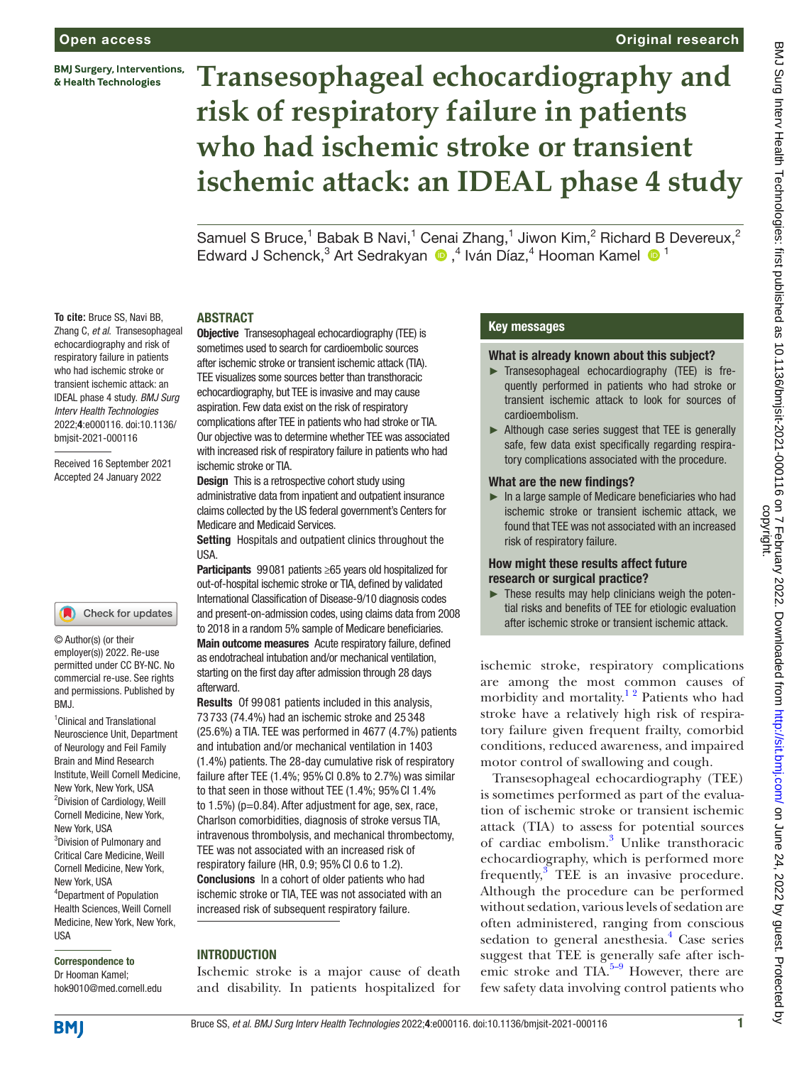**BMJ Surgery, Interventions,** & Health Technologies

# Original research

# **Transesophageal echocardiography and risk of respiratory failure in patients who had ischemic stroke or transient ischemic attack: an IDEAL phase 4 study**

Samuel S Bruce,<sup>1</sup> Babak B Navi,<sup>1</sup> Cenai Zhang,<sup>1</sup> Jiwon Kim,<sup>2</sup> Richard B Devereux,<sup>2</sup> Edward J Schenck,<sup>3</sup> Art Sedrakyan (D,<sup>4</sup> Iván Díaz,<sup>4</sup> Hooman Kamel (D<sup>1</sup>

#### ABSTRACT

Objective Transesophageal echocardiography (TEE) is sometimes used to search for cardioembolic sources after ischemic stroke or transient ischemic attack (TIA). TEE visualizes some sources better than transthoracic echocardiography, but TEE is invasive and may cause aspiration. Few data exist on the risk of respiratory complications after TEE in patients who had stroke or TIA. Our objective was to determine whether TEE was associated with increased risk of respiratory failure in patients who had ischemic stroke or TIA.

**Design** This is a retrospective cohort study using administrative data from inpatient and outpatient insurance claims collected by the US federal government's Centers for Medicare and Medicaid Services.

Setting Hospitals and outpatient clinics throughout the USA.

Participants 99081 patients ≥65 years old hospitalized for out-of-hospital ischemic stroke or TIA, defined by validated International Classification of Disease-9/10 diagnosis codes and present-on-admission codes, using claims data from 2008 to 2018 in a random 5% sample of Medicare beneficiaries. Main outcome measures Acute respiratory failure, defined as endotracheal intubation and/or mechanical ventilation, starting on the first day after admission through 28 days afterward.

Results Of 99 081 patients included in this analysis, 73 733 (74.4%) had an ischemic stroke and 25 348 (25.6%) a TIA. TEE was performed in 4677 (4.7%) patients and intubation and/or mechanical ventilation in 1403 (1.4%) patients. The 28-day cumulative risk of respiratory failure after TEE (1.4%; 95%CI 0.8% to 2.7%) was similar to that seen in those without TEE (1.4%; 95% Cl 1.4% to 1.5%) (p=0.84). After adjustment for age, sex, race, Charlson comorbidities, diagnosis of stroke versus TIA, intravenous thrombolysis, and mechanical thrombectomy, TEE was not associated with an increased risk of respiratory failure (HR,  $0.9$ ;  $95\%$  Cl  $0.6$  to  $1.2$ ). Conclusions In a cohort of older patients who had ischemic stroke or TIA, TEE was not associated with an increased risk of subsequent respiratory failure.

# INTRODUCTION

Ischemic stroke is a major cause of death and disability. In patients hospitalized for

## Key messages

#### What is already known about this subject?

- ► Transesophageal echocardiography (TEE) is frequently performed in patients who had stroke or transient ischemic attack to look for sources of cardioembolism.
- ► Although case series suggest that TEE is generally safe, few data exist specifically regarding respiratory complications associated with the procedure.

#### What are the new findings?

 $\blacktriangleright$  In a large sample of Medicare beneficiaries who had ischemic stroke or transient ischemic attack, we found that TEE was not associated with an increased risk of respiratory failure.

#### How might these results affect future research or surgical practice?

 $\blacktriangleright$  These results may help clinicians weigh the potential risks and benefits of TEE for etiologic evaluation after ischemic stroke or transient ischemic attack.

ischemic stroke, respiratory complications are among the most common causes of morbidity and mortality.<sup>12</sup> Patients who had stroke have a relatively high risk of respiratory failure given frequent frailty, comorbid conditions, reduced awareness, and impaired motor control of swallowing and cough.

Transesophageal echocardiography (TEE) is sometimes performed as part of the evaluation of ischemic stroke or transient ischemic attack (TIA) to assess for potential sources of cardiac embolism.<sup>3</sup> Unlike transthoracic echocardiography, which is performed more frequently, $3 \text{ TEE}$  $3 \text{ TEE}$  is an invasive procedure. Although the procedure can be performed without sedation, various levels of sedation are often administered, ranging from conscious sedation to general anesthesia.<sup>[4](#page-5-2)</sup> Case series suggest that TEE is generally safe after ischemic stroke and  $TIA.5-9$  However, there are few safety data involving control patients who

Received 16 September 2021 Accepted 24 January 2022

**To cite:** Bruce SS, Navi BB, Zhang C, *et al*. Transesophageal echocardiography and risk of respiratory failure in patients who had ischemic stroke or transient ischemic attack: an IDEAL phase 4 study. *BMJ Surg Interv Health Technologies* 2022;4:e000116. doi:10.1136/ bmjsit-2021-000116

#### Check for updates

© Author(s) (or their employer(s)) 2022. Re-use permitted under CC BY-NC. No commercial re-use. See rights and permissions. Published by BMJ.

1 Clinical and Translational Neuroscience Unit, Department of Neurology and Feil Family Brain and Mind Research Institute, Weill Cornell Medicine, New York, New York, USA <sup>2</sup>Division of Cardiology, Weill Cornell Medicine, New York, New York, USA 3 Division of Pulmonary and Critical Care Medicine, Weill Cornell Medicine, New York, New York, USA 4 Department of Population Health Sciences, Weill Cornell Medicine, New York, New York, **IISA** 

# Correspondence to Dr Hooman Kamel;

hok9010@med.cornell.edu



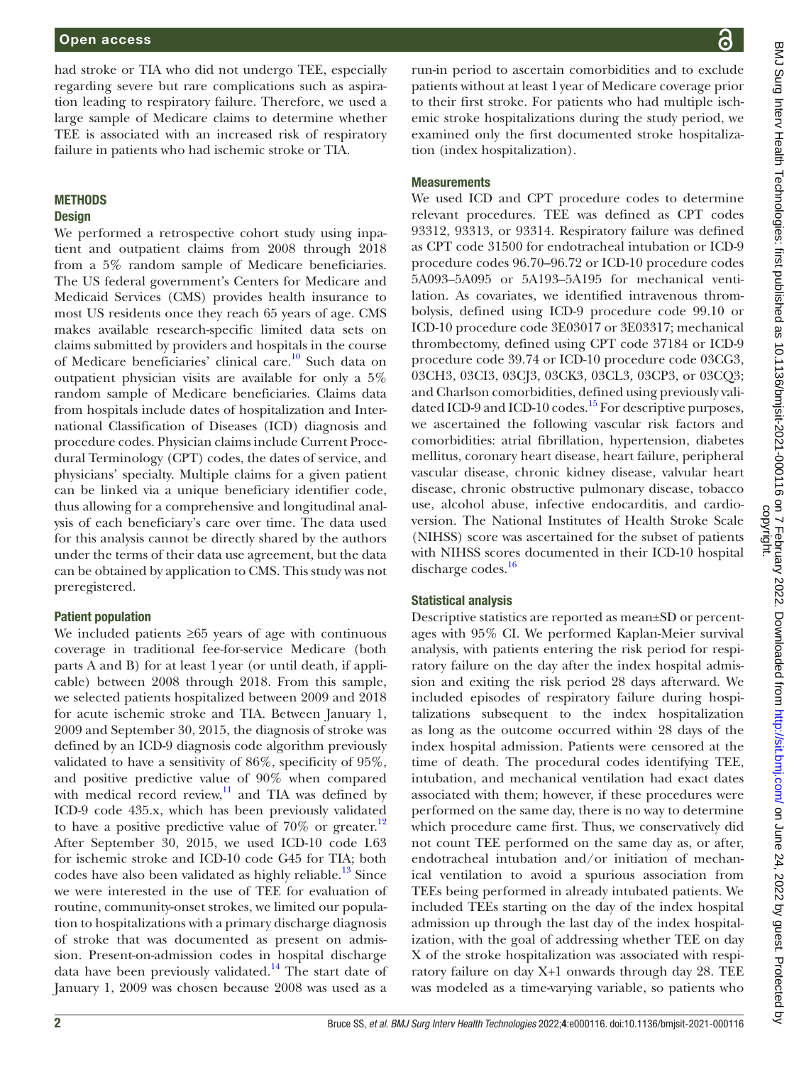had stroke or TIA who did not undergo TEE, especially regarding severe but rare complications such as aspiration leading to respiratory failure. Therefore, we used a large sample of Medicare claims to determine whether TEE is associated with an increased risk of respiratory failure in patients who had ischemic stroke or TIA.

# METHODS

#### **Design**

We performed a retrospective cohort study using inpatient and outpatient claims from 2008 through 2018 from a 5% random sample of Medicare beneficiaries. The US federal government's Centers for Medicare and Medicaid Services (CMS) provides health insurance to most US residents once they reach 65 years of age. CMS makes available research-specific limited data sets on claims submitted by providers and hospitals in the course of Medicare beneficiaries' clinical care.<sup>[10](#page-5-4)</sup> Such data on outpatient physician visits are available for only a 5% random sample of Medicare beneficiaries. Claims data from hospitals include dates of hospitalization and International Classification of Diseases (ICD) diagnosis and procedure codes. Physician claims include Current Procedural Terminology (CPT) codes, the dates of service, and physicians' specialty. Multiple claims for a given patient can be linked via a unique beneficiary identifier code, thus allowing for a comprehensive and longitudinal analysis of each beneficiary's care over time. The data used for this analysis cannot be directly shared by the authors under the terms of their data use agreement, but the data can be obtained by application to CMS. This study was not preregistered.

## Patient population

We included patients ≥65 years of age with continuous coverage in traditional fee-for-service Medicare (both parts A and B) for at least 1year (or until death, if applicable) between 2008 through 2018. From this sample, we selected patients hospitalized between 2009 and 2018 for acute ischemic stroke and TIA. Between January 1, 2009 and September 30, 2015, the diagnosis of stroke was defined by an ICD-9 diagnosis code algorithm previously validated to have a sensitivity of 86%, specificity of 95%, and positive predictive value of 90% when compared with medical record review,<sup>11</sup> and TIA was defined by ICD-9 code 435.x, which has been previously validated to have a positive predictive value of 70% or greater.<sup>[12](#page-5-6)</sup> After September 30, 2015, we used ICD-10 code I.63 for ischemic stroke and ICD-10 code G45 for TIA; both codes have also been validated as highly reliable.<sup>13</sup> Since we were interested in the use of TEE for evaluation of routine, community-onset strokes, we limited our population to hospitalizations with a primary discharge diagnosis of stroke that was documented as present on admission. Present-on-admission codes in hospital discharge data have been previously validated.<sup>14</sup> The start date of January 1, 2009 was chosen because 2008 was used as a

run-in period to ascertain comorbidities and to exclude patients without at least 1year of Medicare coverage prior to their first stroke. For patients who had multiple ischemic stroke hospitalizations during the study period, we examined only the first documented stroke hospitalization (index hospitalization).

# **Measurements**

We used ICD and CPT procedure codes to determine relevant procedures. TEE was defined as CPT codes 93312, 93313, or 93314. Respiratory failure was defined as CPT code 31500 for endotracheal intubation or ICD-9 procedure codes 96.70–96.72 or ICD-10 procedure codes 5A093–5A095 or 5A193–5A195 for mechanical ventilation. As covariates, we identified intravenous thrombolysis, defined using ICD-9 procedure code 99.10 or ICD-10 procedure code 3E03017 or 3E03317; mechanical thrombectomy, defined using CPT code 37184 or ICD-9 procedure code 39.74 or ICD-10 procedure code 03CG3, 03CH3, 03CI3, 03CJ3, 03CK3*,* 03CL3*,* 03CP3, or 03CQ3; and Charlson comorbidities, defined using previously validated ICD-9 and ICD-10 codes.<sup>15</sup> For descriptive purposes, we ascertained the following vascular risk factors and comorbidities: atrial fibrillation, hypertension, diabetes mellitus, coronary heart disease, heart failure, peripheral vascular disease, chronic kidney disease, valvular heart disease, chronic obstructive pulmonary disease, tobacco use, alcohol abuse, infective endocarditis, and cardioversion. The National Institutes of Health Stroke Scale (NIHSS) score was ascertained for the subset of patients with NIHSS scores documented in their ICD-10 hospital discharge codes.<sup>16</sup>

# Statistical analysis

Descriptive statistics are reported as mean±SD or percentages with 95% CI. We performed Kaplan-Meier survival analysis, with patients entering the risk period for respiratory failure on the day after the index hospital admission and exiting the risk period 28 days afterward. We included episodes of respiratory failure during hospitalizations subsequent to the index hospitalization as long as the outcome occurred within 28 days of the index hospital admission. Patients were censored at the time of death. The procedural codes identifying TEE, intubation, and mechanical ventilation had exact dates associated with them; however, if these procedures were performed on the same day, there is no way to determine which procedure came first. Thus, we conservatively did not count TEE performed on the same day as, or after, endotracheal intubation and/or initiation of mechanical ventilation to avoid a spurious association from TEEs being performed in already intubated patients. We included TEEs starting on the day of the index hospital admission up through the last day of the index hospitalization, with the goal of addressing whether TEE on day X of the stroke hospitalization was associated with respiratory failure on day X+1 onwards through day 28. TEE was modeled as a time-varying variable, so patients who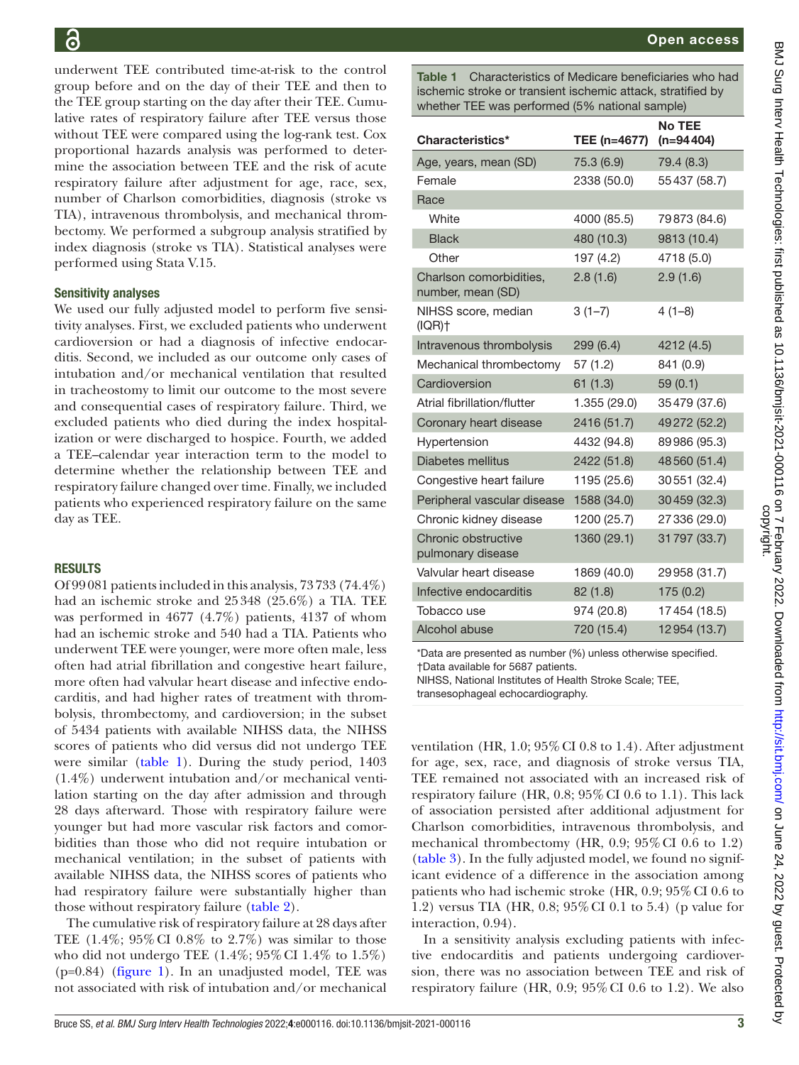underwent TEE contributed time-at-risk to the control group before and on the day of their TEE and then to the TEE group starting on the day after their TEE. Cumulative rates of respiratory failure after TEE versus those without TEE were compared using the log-rank test. Cox proportional hazards analysis was performed to determine the association between TEE and the risk of acute respiratory failure after adjustment for age, race, sex, number of Charlson comorbidities, diagnosis (stroke vs TIA), intravenous thrombolysis, and mechanical thrombectomy. We performed a subgroup analysis stratified by index diagnosis (stroke vs TIA). Statistical analyses were performed using Stata V.15.

#### Sensitivity analyses

We used our fully adjusted model to perform five sensitivity analyses. First, we excluded patients who underwent cardioversion or had a diagnosis of infective endocarditis. Second, we included as our outcome only cases of intubation and/or mechanical ventilation that resulted in tracheostomy to limit our outcome to the most severe and consequential cases of respiratory failure. Third, we excluded patients who died during the index hospitalization or were discharged to hospice. Fourth, we added a TEE–calendar year interaction term to the model to determine whether the relationship between TEE and respiratory failure changed over time. Finally, we included patients who experienced respiratory failure on the same day as TEE.

## RESULTS

Of 99081 patients included in this analysis, 73733 (74.4%) had an ischemic stroke and 25348 (25.6%) a TIA. TEE was performed in 4677 (4.7%) patients, 4137 of whom had an ischemic stroke and 540 had a TIA. Patients who underwent TEE were younger, were more often male, less often had atrial fibrillation and congestive heart failure, more often had valvular heart disease and infective endocarditis, and had higher rates of treatment with thrombolysis, thrombectomy, and cardioversion; in the subset of 5434 patients with available NIHSS data, the NIHSS scores of patients who did versus did not undergo TEE were similar ([table](#page-2-0) 1). During the study period, 1403 (1.4%) underwent intubation and/or mechanical ventilation starting on the day after admission and through 28 days afterward. Those with respiratory failure were younger but had more vascular risk factors and comorbidities than those who did not require intubation or mechanical ventilation; in the subset of patients with available NIHSS data, the NIHSS scores of patients who had respiratory failure were substantially higher than those without respiratory failure [\(table](#page-3-0) 2).

The cumulative risk of respiratory failure at 28 days after TEE  $(1.4\%; 95\% \text{ CI } 0.8\% \text{ to } 2.7\%)$  was similar to those who did not undergo TEE  $(1.4\%, 95\% \text{ CI} \, 1.4\% \, \text{to} \, 1.5\%)$ (p=0.84) [\(figure](#page-3-1) 1). In an unadjusted model, TEE was not associated with risk of intubation and/or mechanical

<span id="page-2-0"></span>Table 1 Characteristics of Medicare beneficiaries who had ischemic stroke or transient ischemic attack, stratified by whether TEE was performed (5% national sample)

| Characteristics*                             | TEE (n=4677) | <b>No TEE</b><br>$(n=94404)$ |
|----------------------------------------------|--------------|------------------------------|
| Age, years, mean (SD)                        | 75.3 (6.9)   | 79.4 (8.3)                   |
| Female                                       | 2338 (50.0)  | 55437 (58.7)                 |
| Race                                         |              |                              |
| White                                        | 4000 (85.5)  | 79873 (84.6)                 |
| <b>Black</b>                                 | 480 (10.3)   | 9813 (10.4)                  |
| Other                                        | 197 (4.2)    | 4718 (5.0)                   |
| Charlson comorbidities,<br>number, mean (SD) | 2.8(1.6)     | 2.9(1.6)                     |
| NIHSS score, median<br>(IQR)†                | $3(1-7)$     | $4(1-8)$                     |
| Intravenous thrombolysis                     | 299 (6.4)    | 4212 (4.5)                   |
| Mechanical thrombectomy                      | 57(1.2)      | 841 (0.9)                    |
| Cardioversion                                | 61(1.3)      | 59(0.1)                      |
| Atrial fibrillation/flutter                  | 1.355 (29.0) | 35479 (37.6)                 |
| Coronary heart disease                       | 2416 (51.7)  | 49272 (52.2)                 |
| Hypertension                                 | 4432 (94.8)  | 89986 (95.3)                 |
| Diabetes mellitus                            | 2422 (51.8)  | 48560 (51.4)                 |
| Congestive heart failure                     | 1195 (25.6)  | 30551 (32.4)                 |
| Peripheral vascular disease                  | 1588 (34.0)  | 30459 (32.3)                 |
| Chronic kidney disease                       | 1200 (25.7)  | 27336 (29.0)                 |
| Chronic obstructive<br>pulmonary disease     | 1360 (29.1)  | 31797 (33.7)                 |
| Valvular heart disease                       | 1869 (40.0)  | 29958 (31.7)                 |
| Infective endocarditis                       | 82(1.8)      | 175(0.2)                     |
| Tobacco use                                  | 974 (20.8)   | 17454 (18.5)                 |
| Alcohol abuse                                | 720 (15.4)   | 12954 (13.7)                 |

\*Data are presented as number (%) unless otherwise specified. †Data available for 5687 patients.

NIHSS, National Institutes of Health Stroke Scale; TEE,

transesophageal echocardiography.

ventilation (HR,  $1.0$ ;  $95\%$  CI 0.8 to 1.4). After adjustment for age, sex, race, and diagnosis of stroke versus TIA, TEE remained not associated with an increased risk of respiratory failure (HR,  $0.8$ ;  $95\%$  CI  $0.6$  to 1.1). This lack of association persisted after additional adjustment for Charlson comorbidities, intravenous thrombolysis, and mechanical thrombectomy (HR, 0.9; 95%CI 0.6 to 1.2) [\(table](#page-4-0) 3). In the fully adjusted model, we found no significant evidence of a difference in the association among patients who had ischemic stroke (HR, 0.9; 95% CI 0.6 to 1.2) versus TIA (HR, 0.8; 95%CI 0.1 to 5.4) (p value for interaction, 0.94).

In a sensitivity analysis excluding patients with infective endocarditis and patients undergoing cardioversion, there was no association between TEE and risk of respiratory failure (HR,  $0.9$ ;  $95\%$  CI 0.6 to 1.2). We also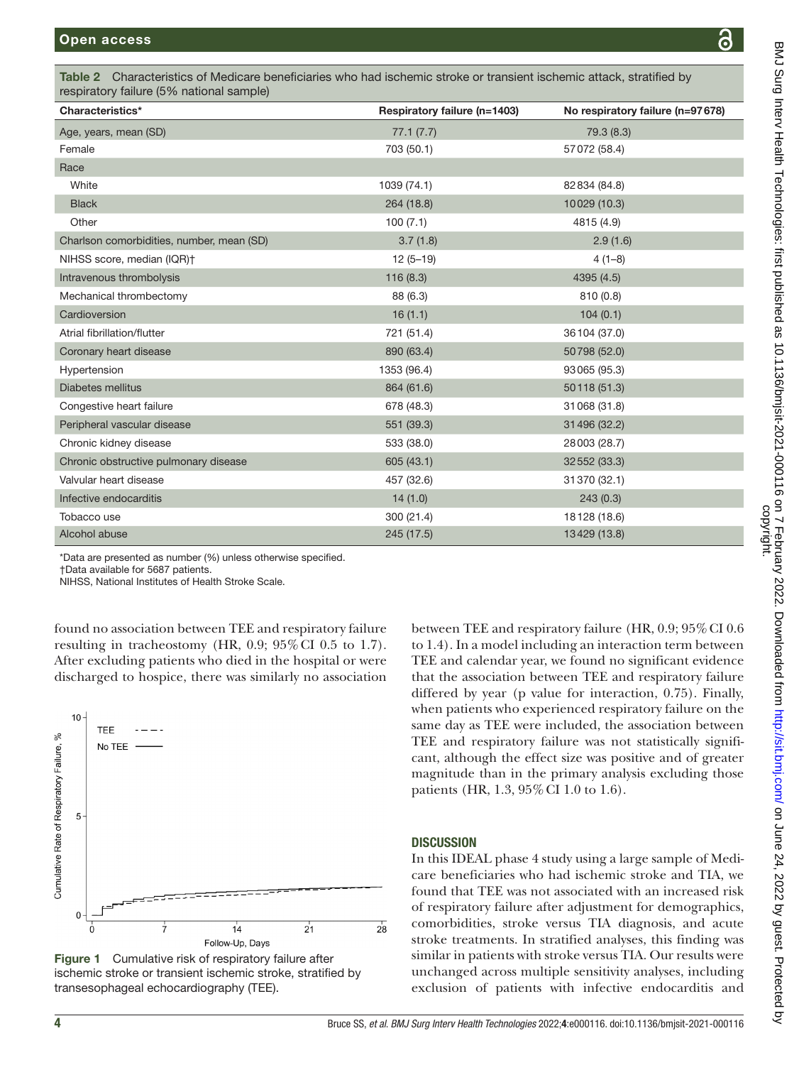<span id="page-3-0"></span>

| Characteristics*                          | Respiratory failure (n=1403) | No respiratory failure (n=97678) |
|-------------------------------------------|------------------------------|----------------------------------|
| Age, years, mean (SD)                     | 77.1(7.7)                    | 79.3 (8.3)                       |
| Female                                    | 703 (50.1)                   | 57072 (58.4)                     |
| Race                                      |                              |                                  |
| White                                     | 1039 (74.1)                  | 82 834 (84.8)                    |
| <b>Black</b>                              | 264 (18.8)                   | 10029 (10.3)                     |
| Other                                     | 100(7.1)                     | 4815 (4.9)                       |
| Charlson comorbidities, number, mean (SD) | 3.7(1.8)                     | 2.9(1.6)                         |
| NIHSS score, median (IQR)+                | $12(5-19)$                   | $4(1-8)$                         |
| Intravenous thrombolysis                  | 116(8.3)                     | 4395 (4.5)                       |
| Mechanical thrombectomy                   | 88 (6.3)                     | 810(0.8)                         |
| Cardioversion                             | 16(1.1)                      | 104(0.1)                         |
| Atrial fibrillation/flutter               | 721 (51.4)                   | 36 104 (37.0)                    |
| Coronary heart disease                    | 890 (63.4)                   | 50798 (52.0)                     |
| Hypertension                              | 1353 (96.4)                  | 93065 (95.3)                     |
| <b>Diabetes mellitus</b>                  | 864 (61.6)                   | 50118 (51.3)                     |
| Congestive heart failure                  | 678 (48.3)                   | 31 068 (31.8)                    |
| Peripheral vascular disease               | 551 (39.3)                   | 31 496 (32.2)                    |
| Chronic kidney disease                    | 533 (38.0)                   | 28003 (28.7)                     |
| Chronic obstructive pulmonary disease     | 605 (43.1)                   | 32 552 (33.3)                    |
| Valvular heart disease                    | 457 (32.6)                   | 31370 (32.1)                     |
| Infective endocarditis                    | 14(1.0)                      | 243(0.3)                         |
| Tobacco use                               | 300 (21.4)                   | 18128 (18.6)                     |
| Alcohol abuse                             | 245 (17.5)                   | 13429 (13.8)                     |

†Data available for 5687 patients. NIHSS, National Institutes of Health Stroke Scale.

found no association between TEE and respiratory failure resulting in tracheostomy (HR, 0.9;  $95\%$  CI 0.5 to 1.7). After excluding patients who died in the hospital or were discharged to hospice, there was similarly no association



<span id="page-3-1"></span>Figure 1 Cumulative risk of respiratory failure after ischemic stroke or transient ischemic stroke, stratified by transesophageal echocardiography (TEE).

between TEE and respiratory failure (HR,  $0.9$ ;  $95\%$  CI  $0.6$ to 1.4). In a model including an interaction term between TEE and calendar year, we found no significant evidence that the association between TEE and respiratory failure differed by year (p value for interaction, 0.75). Finally, when patients who experienced respiratory failure on the same day as TEE were included, the association between TEE and respiratory failure was not statistically significant, although the effect size was positive and of greater magnitude than in the primary analysis excluding those patients (HR, 1.3, 95%CI 1.0 to 1.6).

# **DISCUSSION**

In this IDEAL phase 4 study using a large sample of Medicare beneficiaries who had ischemic stroke and TIA, we found that TEE was not associated with an increased risk of respiratory failure after adjustment for demographics, comorbidities, stroke versus TIA diagnosis, and acute stroke treatments. In stratified analyses, this finding was similar in patients with stroke versus TIA. Our results were unchanged across multiple sensitivity analyses, including exclusion of patients with infective endocarditis and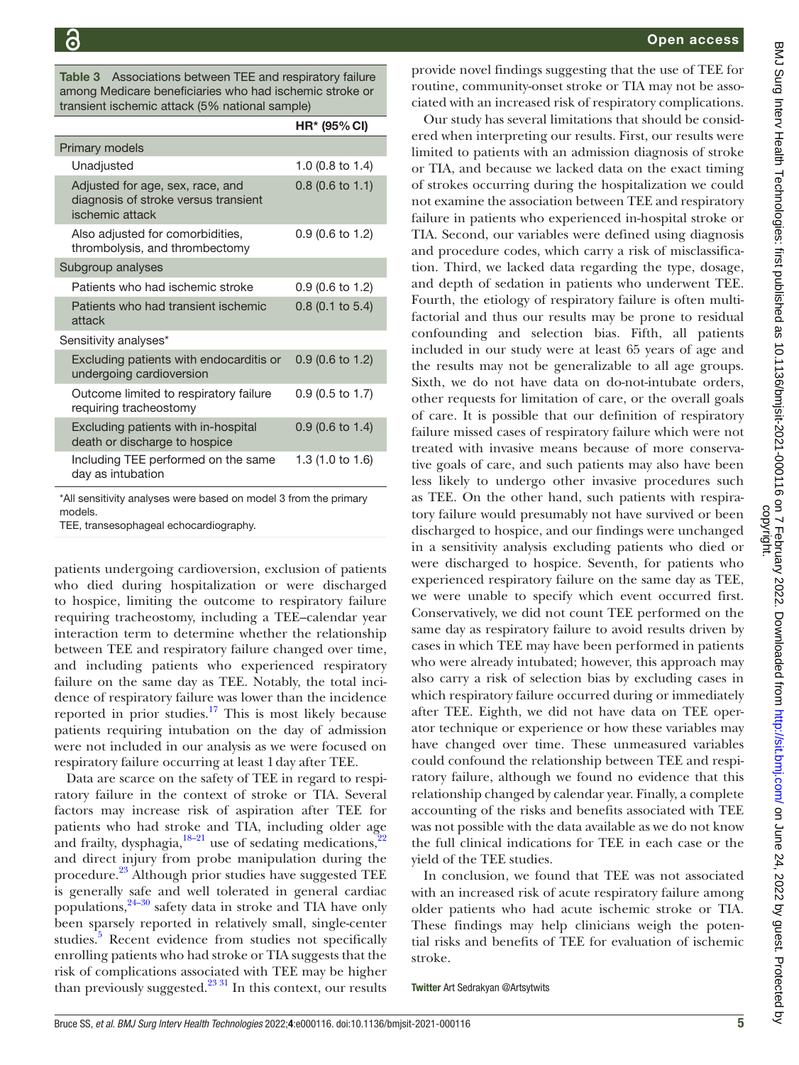<span id="page-4-0"></span>Table 3 Associations between TEE and respiratory failure among Medicare beneficiaries who had ischemic stroke or transient ischemic attack (5% national sample)

|                                                                                             | HR* (95% CI)       |
|---------------------------------------------------------------------------------------------|--------------------|
| Primary models                                                                              |                    |
| Unadjusted                                                                                  | 1.0 (0.8 to 1.4)   |
| Adjusted for age, sex, race, and<br>diagnosis of stroke versus transient<br>ischemic attack | $0.8$ (0.6 to 1.1) |
| Also adjusted for comorbidities,<br>thrombolysis, and thrombectomy                          | 0.9 (0.6 to 1.2)   |
| Subgroup analyses                                                                           |                    |
| Patients who had ischemic stroke                                                            | 0.9 (0.6 to 1.2)   |
| Patients who had transient ischemic<br>attack                                               | $0.8$ (0.1 to 5.4) |
| Sensitivity analyses*                                                                       |                    |
| Excluding patients with endocarditis or<br>undergoing cardioversion                         | $0.9$ (0.6 to 1.2) |
| Outcome limited to respiratory failure<br>requiring tracheostomy                            | $0.9$ (0.5 to 1.7) |
| Excluding patients with in-hospital<br>death or discharge to hospice                        | 0.9 (0.6 to 1.4)   |
| Including TEE performed on the same<br>day as intubation                                    | 1.3 (1.0 to 1.6)   |

\*All sensitivity analyses were based on model 3 from the primary models.

TEE, transesophageal echocardiography.

patients undergoing cardioversion, exclusion of patients who died during hospitalization or were discharged to hospice, limiting the outcome to respiratory failure requiring tracheostomy, including a TEE–calendar year interaction term to determine whether the relationship between TEE and respiratory failure changed over time, and including patients who experienced respiratory failure on the same day as TEE. Notably, the total incidence of respiratory failure was lower than the incidence reported in prior studies.<sup>17</sup> This is most likely because patients requiring intubation on the day of admission were not included in our analysis as we were focused on respiratory failure occurring at least 1day after TEE.

Data are scarce on the safety of TEE in regard to respiratory failure in the context of stroke or TIA. Several factors may increase risk of aspiration after TEE for patients who had stroke and TIA, including older age and frailty, dysphagia, $18-21$  use of sedating medications,<sup>2</sup> and direct injury from probe manipulation during the procedure.[23](#page-5-14) Although prior studies have suggested TEE is generally safe and well tolerated in general cardiac populations, $24-30$  safety data in stroke and TIA have only been sparsely reported in relatively small, single-center studies.<sup>[5](#page-5-3)</sup> Recent evidence from studies not specifically enrolling patients who had stroke or TIA suggests that the risk of complications associated with TEE may be higher than previously suggested. $^{23\,31}$  In this context, our results

provide novel findings suggesting that the use of TEE for routine, community-onset stroke or TIA may not be associated with an increased risk of respiratory complications.

Our study has several limitations that should be considered when interpreting our results. First, our results were limited to patients with an admission diagnosis of stroke or TIA, and because we lacked data on the exact timing of strokes occurring during the hospitalization we could not examine the association between TEE and respiratory failure in patients who experienced in-hospital stroke or TIA. Second, our variables were defined using diagnosis and procedure codes, which carry a risk of misclassification. Third, we lacked data regarding the type, dosage, and depth of sedation in patients who underwent TEE. Fourth, the etiology of respiratory failure is often multifactorial and thus our results may be prone to residual confounding and selection bias. Fifth, all patients included in our study were at least 65 years of age and the results may not be generalizable to all age groups. Sixth, we do not have data on do-not-intubate orders, other requests for limitation of care, or the overall goals of care. It is possible that our definition of respiratory failure missed cases of respiratory failure which were not treated with invasive means because of more conservative goals of care, and such patients may also have been less likely to undergo other invasive procedures such as TEE. On the other hand, such patients with respiratory failure would presumably not have survived or been discharged to hospice, and our findings were unchanged in a sensitivity analysis excluding patients who died or were discharged to hospice. Seventh, for patients who experienced respiratory failure on the same day as TEE, we were unable to specify which event occurred first. Conservatively, we did not count TEE performed on the same day as respiratory failure to avoid results driven by cases in which TEE may have been performed in patients who were already intubated; however, this approach may also carry a risk of selection bias by excluding cases in which respiratory failure occurred during or immediately after TEE. Eighth, we did not have data on TEE operator technique or experience or how these variables may have changed over time. These unmeasured variables could confound the relationship between TEE and respiratory failure, although we found no evidence that this relationship changed by calendar year. Finally, a complete accounting of the risks and benefits associated with TEE was not possible with the data available as we do not know the full clinical indications for TEE in each case or the yield of the TEE studies.

In conclusion, we found that TEE was not associated with an increased risk of acute respiratory failure among older patients who had acute ischemic stroke or TIA. These findings may help clinicians weigh the potential risks and benefits of TEE for evaluation of ischemic stroke.

Twitter Art Sedrakyan [@Artsytwits](https://twitter.com/Artsytwits)